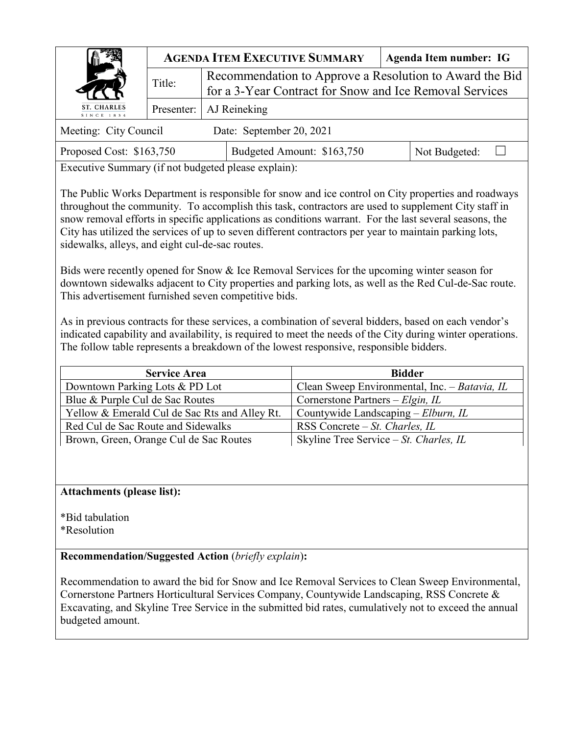|                                                         | <b>AGENDA ITEM EXECUTIVE SUMMARY</b> |  |                                                                                                                    |  | Agenda Item number: IG |  |  |
|---------------------------------------------------------|--------------------------------------|--|--------------------------------------------------------------------------------------------------------------------|--|------------------------|--|--|
|                                                         | Title:                               |  | Recommendation to Approve a Resolution to Award the Bid<br>for a 3-Year Contract for Snow and Ice Removal Services |  |                        |  |  |
| ST. CHARLES<br>AJ Reineking<br>Presenter:<br>SINCE 1834 |                                      |  |                                                                                                                    |  |                        |  |  |
| Meeting: City Council                                   |                                      |  | Date: September 20, 2021                                                                                           |  |                        |  |  |
| Proposed Cost: \$163,750                                |                                      |  | Budgeted Amount: \$163,750                                                                                         |  | Not Budgeted:          |  |  |

Executive Summary (if not budgeted please explain):

The Public Works Department is responsible for snow and ice control on City properties and roadways throughout the community. To accomplish this task, contractors are used to supplement City staff in snow removal efforts in specific applications as conditions warrant. For the last several seasons, the City has utilized the services of up to seven different contractors per year to maintain parking lots, sidewalks, alleys, and eight cul-de-sac routes.

Bids were recently opened for Snow & Ice Removal Services for the upcoming winter season for downtown sidewalks adjacent to City properties and parking lots, as well as the Red Cul-de-Sac route. This advertisement furnished seven competitive bids.

As in previous contracts for these services, a combination of several bidders, based on each vendor's indicated capability and availability, is required to meet the needs of the City during winter operations. The follow table represents a breakdown of the lowest responsive, responsible bidders.

| <b>Service Area</b>                           | <b>Bidder</b>                                 |
|-----------------------------------------------|-----------------------------------------------|
| Downtown Parking Lots & PD Lot                | Clean Sweep Environmental, Inc. - Batavia, IL |
| Blue & Purple Cul de Sac Routes               | Cornerstone Partners – $Elgin, IL$            |
| Yellow & Emerald Cul de Sac Rts and Alley Rt. | Countywide Landscaping – Elburn, IL           |
| Red Cul de Sac Route and Sidewalks            | RSS Concrete $-St$ . Charles, IL              |
| Brown, Green, Orange Cul de Sac Routes        | Skyline Tree Service $-St$ . Charles, IL      |

## **Attachments (please list):**

\*Bid tabulation

\*Resolution

**Recommendation/Suggested Action** (*briefly explain*)**:**

Recommendation to award the bid for Snow and Ice Removal Services to Clean Sweep Environmental, Cornerstone Partners Horticultural Services Company, Countywide Landscaping, RSS Concrete & Excavating, and Skyline Tree Service in the submitted bid rates, cumulatively not to exceed the annual budgeted amount.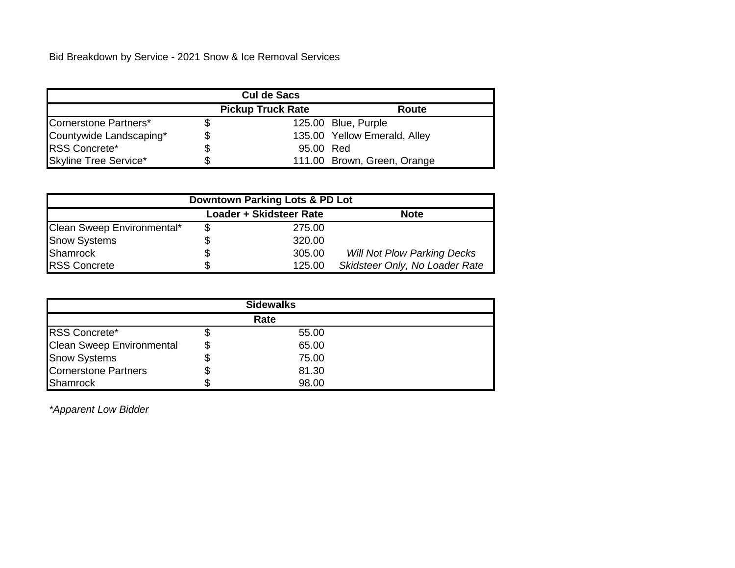Bid Breakdown by Service - 2021 Snow & Ice Removal Services

| <b>Cul de Sacs</b>      |    |                          |                              |  |  |  |  |
|-------------------------|----|--------------------------|------------------------------|--|--|--|--|
|                         |    | <b>Pickup Truck Rate</b> | Route                        |  |  |  |  |
| Cornerstone Partners*   |    |                          | 125.00 Blue, Purple          |  |  |  |  |
| Countywide Landscaping* | S  |                          | 135.00 Yellow Emerald, Alley |  |  |  |  |
| <b>RSS Concrete*</b>    |    | 95.00 Red                |                              |  |  |  |  |
| Skyline Tree Service*   | S. |                          | 111.00 Brown, Green, Orange  |  |  |  |  |

| Downtown Parking Lots & PD Lot |  |                         |                                    |  |  |  |  |
|--------------------------------|--|-------------------------|------------------------------------|--|--|--|--|
|                                |  | Loader + Skidsteer Rate | <b>Note</b>                        |  |  |  |  |
| Clean Sweep Environmental*     |  | 275.00                  |                                    |  |  |  |  |
| <b>Snow Systems</b>            |  | 320.00                  |                                    |  |  |  |  |
| Shamrock                       |  | 305.00                  | <b>Will Not Plow Parking Decks</b> |  |  |  |  |
| <b>RSS Concrete</b>            |  | 125.00                  | Skidsteer Only, No Loader Rate     |  |  |  |  |

| <b>Sidewalks</b>                 |    |       |  |  |  |
|----------------------------------|----|-------|--|--|--|
| Rate                             |    |       |  |  |  |
| <b>RSS Concrete*</b>             |    | 55.00 |  |  |  |
| <b>Clean Sweep Environmental</b> | \$ | 65.00 |  |  |  |
| <b>Snow Systems</b>              |    | 75.00 |  |  |  |
| Cornerstone Partners             |    | 81.30 |  |  |  |
| <b>Shamrock</b>                  |    | 98.00 |  |  |  |

*\*Apparent Low Bidder*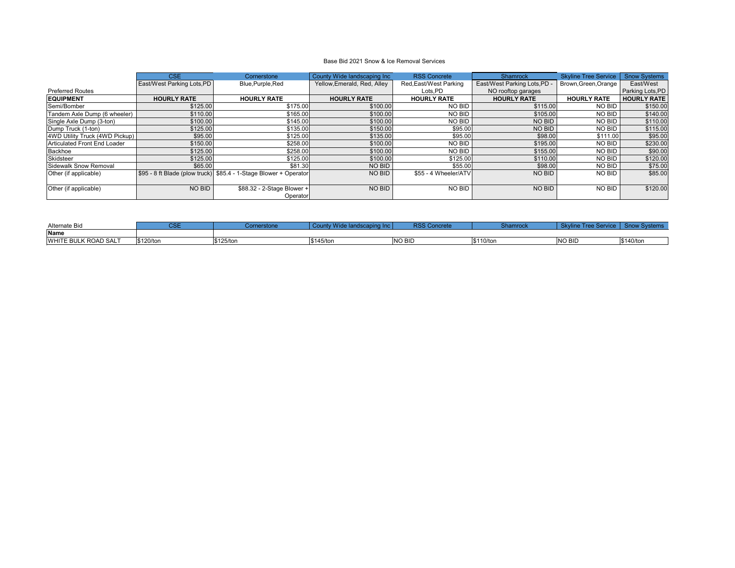|                                | CSE                               | Cornerstone                                                      | County Wide landscaping Inc | <b>RSS Concrete</b>    | <b>Shamrock</b>              | <b>Skyline Tree Service</b> | <b>Snow Systems</b>     |
|--------------------------------|-----------------------------------|------------------------------------------------------------------|-----------------------------|------------------------|------------------------------|-----------------------------|-------------------------|
|                                | <b>East/West Parking Lots, PD</b> | Blue, Purple, Red                                                | Yellow, Emerald, Red, Alley | Red, East/West Parking | East/West Parking Lots, PD - | Brown, Green, Orange        | East/West               |
| <b>Preferred Routes</b>        |                                   |                                                                  |                             | Lots, PD               | NO rooftop garages           |                             | <b>Parking Lots, PD</b> |
| <b>EQUIPMENT</b>               | <b>HOURLY RATE</b>                | <b>HOURLY RATE</b>                                               | <b>HOURLY RATE</b>          | <b>HOURLY RATE</b>     | <b>HOURLY RATE</b>           | <b>HOURLY RATE</b>          | <b>HOURLY RATE</b>      |
| Semi/Bomber                    | \$125.00                          | \$175.00                                                         | \$100.00                    | <b>NO BID</b>          | \$115.00                     | NO BID                      | \$150.00                |
| Tandem Axle Dump (6 wheeler)   | \$110.00                          | \$165.00                                                         | \$100.00                    | <b>NO BID</b>          | \$105.00                     | NO BID                      | \$140.00                |
| Single Axle Dump (3-ton)       | \$100.00                          | \$145.00                                                         | \$100.00                    | <b>NO BID</b>          | <b>NO BID</b>                | NO BID                      | \$110.00                |
| Dump Truck (1-ton)             | \$125.00                          | \$135.00                                                         | \$150.00                    | \$95.00                | <b>NO BID</b>                | NO BID                      | \$115.00                |
| 4WD Utility Truck (4WD Pickup) | \$95.00                           | \$125.00                                                         | \$135.00                    | \$95.00                | \$98.00                      | \$111.00                    | \$95.00                 |
| Articulated Front End Loader   | \$150.00                          | \$258.00                                                         | \$100.00                    | <b>NO BID</b>          | \$195.00                     | NO BID                      | \$230.00                |
| Backhoe                        | \$125.00                          | \$258.00                                                         | \$100.00                    | <b>NO BID</b>          | \$155.00                     | NO BID                      | \$90.00                 |
| Skidsteer                      | \$125.00                          | \$125.00                                                         | \$100.00                    | \$125.00               | \$110.00                     | NO BID                      | \$120.00                |
| Sidewalk Snow Removal          | \$65.00                           | \$81.30                                                          | NO BID                      | \$55.00                | \$98.00                      | NO BID                      | \$75.00                 |
| Other (if applicable)          |                                   | S95 - 8 ft Blade (plow truck) \$85.4 - 1-Stage Blower + Operator | NO BID                      | \$55 - 4 Wheeler/ATV   | <b>NO BID</b>                | NO BID                      | \$85.00                 |
| Other (if applicable)          | NO BID                            | \$88.32 - 2-Stage Blower +<br>Operator                           | NO BID                      | <b>NO BID</b>          | <b>NO BID</b>                | NO BID                      | \$120.00                |

## Base Bid 2021 Snow & Ice Removal Services

| Alternate Bid                           | $\sim$ $\sim$ $\sim$<br>◡◡∟ | erstone   |           | <b>RSS Concrete</b> | Shamrock  | $rr\alpha$<br>TIGG OGIV | Svstems<br>snow |
|-----------------------------------------|-----------------------------|-----------|-----------|---------------------|-----------|-------------------------|-----------------|
| Name                                    |                             |           |           |                     |           |                         |                 |
| <b>JLK ROAD SALT</b><br><b>WHITE BU</b> | \$120/ton                   | \$125/ton | \$145/ton | <b>INO BIL</b>      | \$110/ton | <b>NO BID</b>           | \$140/ton       |